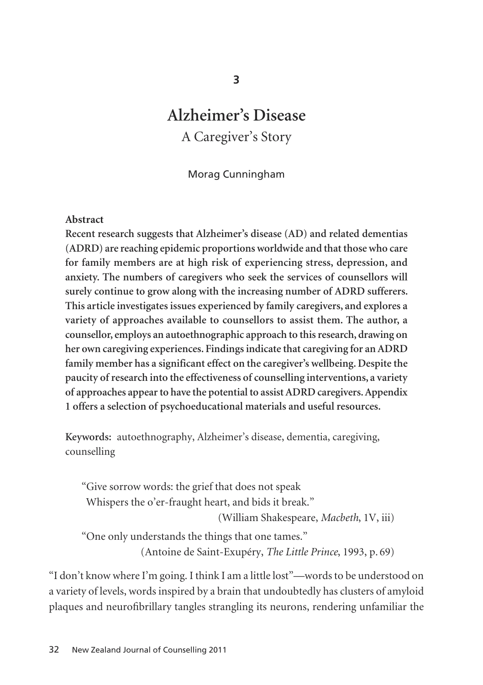# **Alzheimer's Disease** A Caregiver's Story

Morag Cunningham

#### **Abstract**

**Recent research suggests that Alzheimer's disease (AD) and related dementias (ADRD) are reaching epidemic proportions worldwide and that those who care for family members are at high risk of experiencing stress, depression, and anxiety. The numbers of caregivers who seek the services of counsellors will surely continue to grow along with the increasing number of ADRD sufferers. This article investigates issues experienced by family caregivers, and explores a variety of approaches available to counsellors to assist them. The author, a counsellor, employs an autoethnographic approach to this research, drawing on her own caregiving experiences. Findings indicate that caregiving for an ADRD family member has a significant effect on the caregiver's wellbeing. Despite the paucity of research into the effectiveness of counselling interventions, a variety of approaches appear to have the potential to assist ADRD caregivers. Appendix 1 offers a selection of psychoeducational materials and useful resources.**

**Keywords:** autoethnography, Alzheimer's disease, dementia, caregiving, counselling

"Give sorrow words: the grief that does not speak Whispers the o'er-fraught heart, and bids it break." (William Shakespeare, *Macbeth*, 1V, iii) "One only understands the things that one tames." (Antoine de Saint-Exupéry, *The Little Prince*, 1993, p. 69)

"I don't know where I'm going. I think I am a little lost"—words to be understood on a variety of levels, words inspired by a brain that undoubtedly has clusters of amyloid plaques and neurofibrillary tangles strangling its neurons, rendering unfamiliar the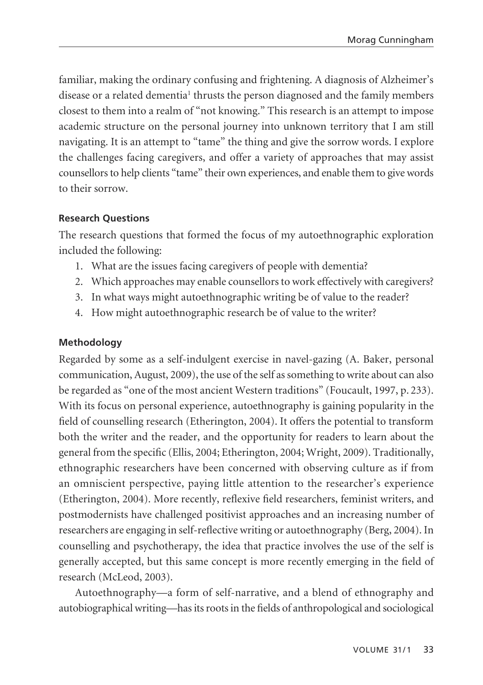familiar, making the ordinary confusing and frightening. A diagnosis of Alzheimer's disease or a related dementia<sup>1</sup> thrusts the person diagnosed and the family members closest to them into a realm of "not knowing." This research is an attempt to impose academic structure on the personal journey into unknown territory that I am still navigating. It is an attempt to "tame" the thing and give the sorrow words. I explore the challenges facing caregivers, and offer a variety of approaches that may assist counsellors to help clients "tame" their own experiences, and enable them to give words to their sorrow.

#### **Research Questions**

The research questions that formed the focus of my autoethnographic exploration included the following:

- 1. What are the issues facing caregivers of people with dementia?
- 2. Which approaches may enable counsellors to work effectively with caregivers?
- 3. In what ways might autoethnographic writing be of value to the reader?
- 4. How might autoethnographic research be of value to the writer?

#### **Methodology**

Regarded by some as a self-indulgent exercise in navel-gazing (A. Baker, personal communication, August, 2009), the use of the self as something to write about can also be regarded as "one of the most ancient Western traditions" (Foucault, 1997, p. 233). With its focus on personal experience, autoethnography is gaining popularity in the field of counselling research (Etherington, 2004). It offers the potential to transform both the writer and the reader, and the opportunity for readers to learn about the general from the specific (Ellis, 2004; Etherington, 2004; Wright, 2009). Traditionally, ethnographic researchers have been concerned with observing culture as if from an omniscient perspective, paying little attention to the researcher's experience (Etherington, 2004). More recently, reflexive field researchers, feminist writers, and postmodernists have challenged positivist approaches and an increasing number of researchers are engaging in self-reflective writing or autoethnography (Berg, 2004). In counselling and psychotherapy, the idea that practice involves the use of the self is generally accepted, but this same concept is more recently emerging in the field of research (McLeod, 2003).

Autoethnography—a form of self-narrative, and a blend of ethnography and autobiographical writing—has its roots in the fields of anthropological and sociological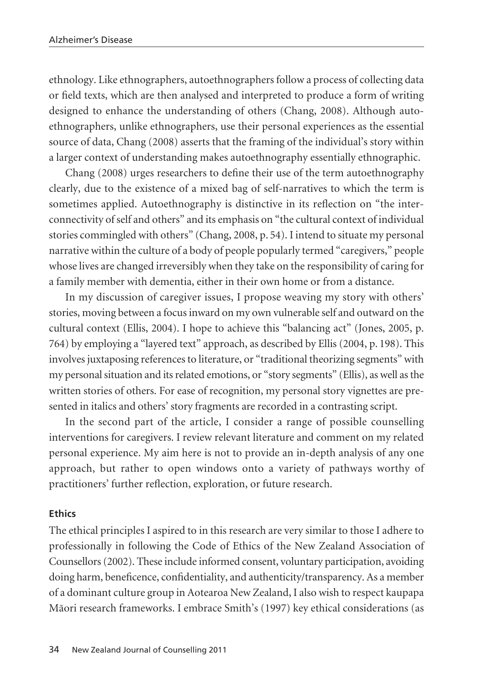ethnology. Like ethnographers, autoethnographers follow a process of collecting data or field texts, which are then analysed and interpreted to produce a form of writing designed to enhance the understanding of others (Chang, 2008). Although autoethnographers, unlike ethnographers, use their personal experiences as the essential source of data, Chang (2008) asserts that the framing of the individual's story within a larger context of understanding makes autoethnography essentially ethnographic.

Chang (2008) urges researchers to define their use of the term autoethnography clearly, due to the existence of a mixed bag of self-narratives to which the term is sometimes applied. Autoethnography is distinctive in its reflection on "the inter connectivity of self and others" and its emphasis on "the cultural context of individual stories commingled with others" (Chang, 2008, p. 54). I intend to situate my personal narrative within the culture of a body of people popularly termed "caregivers," people whose lives are changed irreversibly when they take on the responsibility of caring for a family member with dementia, either in their own home or from a distance.

In my discussion of caregiver issues, I propose weaving my story with others' stories, moving between a focus inward on my own vulnerable self and outward on the cultural context (Ellis, 2004). I hope to achieve this "balancing act" (Jones, 2005, p. 764) by employing a "layered text" approach, as described by Ellis (2004, p. 198). This involves juxtaposing references to literature, or "traditional theorizing segments" with my personal situation and its related emotions, or "story segments" (Ellis), as well as the written stories of others. For ease of recognition, my personal story vignettes are presented in italics and others' story fragments are recorded in a contrasting script.

In the second part of the article, I consider a range of possible counselling interventions for caregivers. I review relevant literature and comment on my related personal experience. My aim here is not to provide an in-depth analysis of any one approach, but rather to open windows onto a variety of pathways worthy of practitioners' further reflection, exploration, or future research.

#### **Ethics**

The ethical principles I aspired to in this research are very similar to those I adhere to professionally in following the Code of Ethics of the New Zealand Association of Counsellors (2002). These include informed consent, voluntary participation, avoiding doing harm, beneficence, confidentiality, and authenticity/transparency. As a member of a dominant culture group in Aotearoa New Zealand, I also wish to respect kaupapa Mäori research frameworks. I embrace Smith's (1997) key ethical considerations (as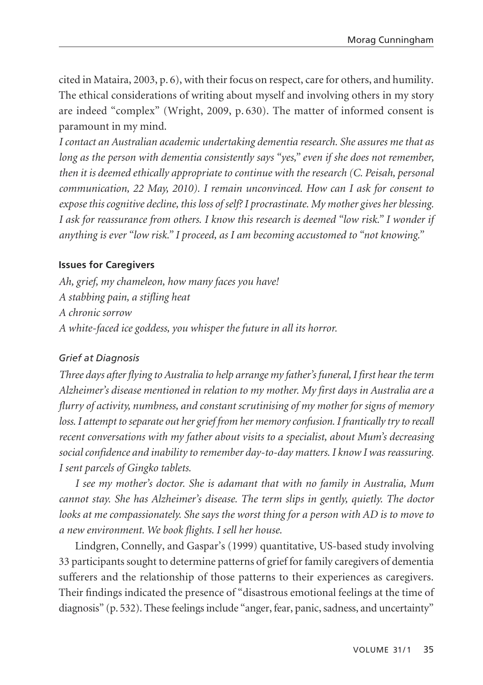cited in Mataira, 2003, p. 6), with their focus on respect, care for others, and humility. The ethical considerations of writing about myself and involving others in my story are indeed "complex" (Wright, 2009, p. 630). The matter of informed consent is paramount in my mind.

*I contact an Australian academic undertaking dementia research. She assures me that as long as the person with dementia consistently says "yes," even if she does not remember, then it is deemed ethically appropriate to continue with the research (C. Peisah, personal communication, 22 May, 2010). I remain unconvinced. How can I ask for consent to expose this cognitive decline, this loss of self? I procrastinate. My mother gives her blessing. I ask for reassurance from others. I know this research is deemed "low risk." I wonder if anything is ever "low risk." I proceed, as I am becoming accustomed to "not knowing."* 

## **Issues for Caregivers**

*Ah, grief, my chameleon, how many faces you have! A stabbing pain, a stifling heat A chronic sorrow A white-faced ice goddess, you whisper the future in all its horror.*

#### *Grief at Diagnosis*

*Three days after flying to Australia to help arrange my father's funeral, I first hear the term Alzheimer's disease mentioned in relation to my mother. My first days in Australia are a flurry of activity, numbness, and constant scrutinising of my mother for signs of memory loss. I attempt to separate out her grief from her memory confusion. I frantically try to recall recent conversations with my father about visits to a specialist, about Mum's decreasing social confidence and inability to remember day-to-day matters. I know I was reassuring. I sent parcels of Gingko tablets.*

*I see my mother's doctor. She is adamant that with no family in Australia, Mum cannot stay. She has Alzheimer's disease. The term slips in gently, quietly. The doctor looks at me compassionately. She says the worst thing for a person with AD is to move to a new environment. We book flights. I sell her house.* 

Lindgren, Connelly, and Gaspar's (1999) quantitative, US-based study involving 33 participants sought to determine patterns of grief for family caregivers of dementia sufferers and the relationship of those patterns to their experiences as caregivers. Their findings indicated the presence of "disastrous emotional feelings at the time of diagnosis" (p. 532). These feelings include "anger, fear, panic, sadness, and uncertainty"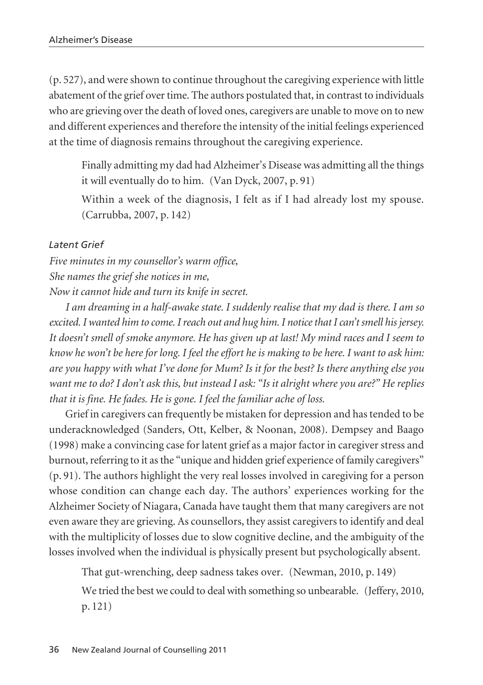(p. 527), and were shown to continue throughout the caregiving experience with little abatement of the grief over time. The authors postulated that, in contrast to individuals who are grieving over the death of loved ones, caregivers are unable to move on to new and different experiences and therefore the intensity of the initial feelings experienced at the time of diagnosis remains throughout the caregiving experience.

Finally admitting my dad had Alzheimer's Disease was admitting all the things it will eventually do to him. (Van Dyck, 2007, p. 91)

Within a week of the diagnosis, I felt as if I had already lost my spouse. (Carrubba, 2007, p. 142)

## *Latent Grief*

*Five minutes in my counsellor's warm office, She names the grief she notices in me, Now it cannot hide and turn its knife in secret.*

*I am dreaming in a half-awake state. I suddenly realise that my dad is there. I am so excited. I wanted him to come. I reach out and hug him. I notice that I can't smell his jersey. It doesn't smell of smoke anymore. He has given up at last! My mind races and I seem to know he won't be here for long. I feel the effort he is making to be here. I want to ask him: are you happy with what I've done for Mum? Is it for the best? Is there anything else you want me to do? I don't ask this, but instead I ask: "Is it alright where you are?" He replies that it is fine. He fades. He is gone. I feel the familiar ache of loss.* 

Grief in caregivers can frequently be mistaken for depression and has tended to be underacknowledged (Sanders, Ott, Kelber, & Noonan, 2008). Dempsey and Baago (1998) make a convincing case for latent grief as a major factor in caregiver stress and burnout, referring to it as the "unique and hidden grief experience of family caregivers" (p. 91). The authors highlight the very real losses involved in caregiving for a person whose condition can change each day. The authors' experiences working for the Alzheimer Society of Niagara, Canada have taught them that many caregivers are not even aware they are grieving. As counsellors, they assist caregivers to identify and deal with the multiplicity of losses due to slow cognitive decline, and the ambiguity of the losses involved when the individual is physically present but psychologically absent.

That gut-wrenching, deep sadness takes over. (Newman, 2010, p. 149)

We tried the best we could to deal with something so unbearable. (Jeffery, 2010, p. 121)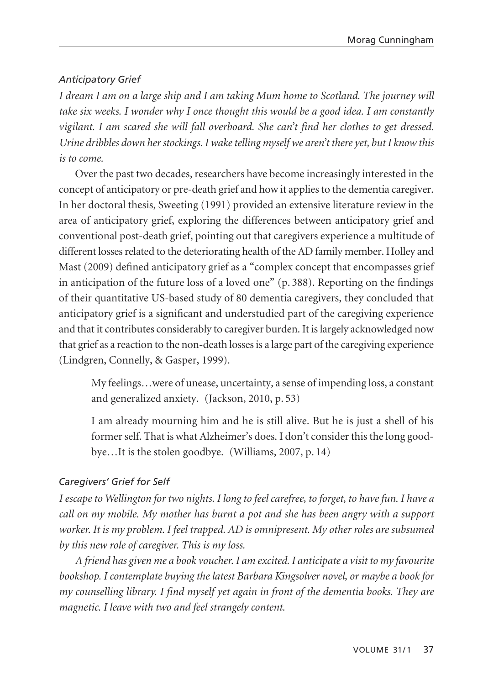## *Anticipatory Grief*

*I dream I am on a large ship and I am taking Mum home to Scotland. The journey will take six weeks. I wonder why I once thought this would be a good idea. I am constantly vigilant. I am scared she will fall overboard. She can't find her clothes to get dressed. Urine dribbles down her stockings. I wake telling myself we aren't there yet, but I know this is to come.*

Over the past two decades, researchers have become increasingly interested in the concept of anticipatory or pre-death grief and how it applies to the dementia caregiver. In her doctoral thesis, Sweeting (1991) provided an extensive literature review in the area of anticipatory grief, exploring the differences between anticipatory grief and conventional post-death grief, pointing out that caregivers experience a multitude of different losses related to the deteriorating health of the AD family member. Holley and Mast (2009) defined anticipatory grief as a "complex concept that encompasses grief in anticipation of the future loss of a loved one" (p. 388). Reporting on the findings of their quantitative US-based study of 80 dementia caregivers, they concluded that anticipatory grief is a significant and understudied part of the caregiving experience and that it contributes considerably to caregiver burden. It is largely acknowledged now that grief as a reaction to the non-death losses is a large part of the caregiving experience (Lindgren, Connelly, & Gasper, 1999).

My feelings…were of unease, uncertainty, a sense of impending loss, a constant and generalized anxiety. (Jackson, 2010, p. 53)

I am already mourning him and he is still alive. But he is just a shell of his former self. That is what Alzheimer's does. I don't consider this the long goodbye…It is the stolen goodbye. (Williams, 2007, p. 14)

## *Caregivers' Grief for Self*

*I escape to Wellington for two nights. I long to feel carefree, to forget, to have fun. I have a call on my mobile. My mother has burnt a pot and she has been angry with a support worker. It is my problem. I feel trapped. AD is omnipresent. My other roles are subsumed by this new role of caregiver. This is my loss.*

*A friend has given me a book voucher. I am excited. I anticipate a visit to my favourite bookshop. I contemplate buying the latest Barbara Kingsolver novel, or maybe a book for my counselling library. I find myself yet again in front of the dementia books. They are magnetic. I leave with two and feel strangely content.*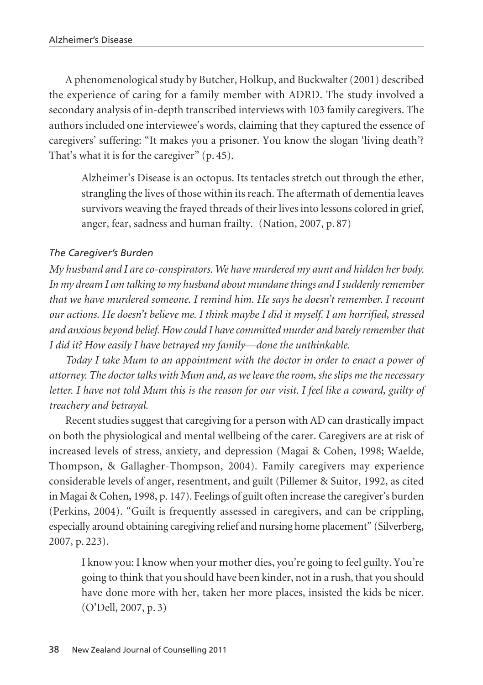A phenomenological study by Butcher, Holkup, and Buckwalter (2001) described the experience of caring for a family member with ADRD. The study involved a secondary analysis of in-depth transcribed interviews with 103 family caregivers. The authors included one interviewee's words, claiming that they captured the essence of caregivers' suffering: "It makes you a prisoner. You know the slogan 'living death'? That's what it is for the caregiver" (p. 45).

Alzheimer's Disease is an octopus. Its tentacles stretch out through the ether, strangling the lives of those within its reach. The aftermath of dementia leaves survivors weaving the frayed threads of their lives into lessons colored in grief, anger, fear, sadness and human frailty. (Nation, 2007, p. 87)

## *The Caregiver's Burden*

*My husband and I are co-conspirators. We have murdered my aunt and hidden her body. In my dream I am talking to my husband about mundane things and I suddenly remember that we have murdered someone. I remind him. He says he doesn't remember. I recount our actions. He doesn't believe me. I think maybe I did it myself. I am horrified, stressed and anxious beyond belief. How could I have committed murder and barely remember that I did it? How easily I have betrayed my family—done the unthinkable.* 

*Today I take Mum to an appointment with the doctor in order to enact a power of attorney. The doctor talks with Mum and, as we leave the room, she slips me the necessary letter. I have not told Mum this is the reason for our visit. I feel like a coward, guilty of treachery and betrayal.*

Recent studies suggest that caregiving for a person with AD can drastically impact on both the physiological and mental wellbeing of the carer. Caregivers are at risk of increased levels of stress, anxiety, and depression (Magai & Cohen, 1998; Waelde, Thompson, & Gallagher-Thompson, 2004). Family caregivers may experience considerable levels of anger, resentment, and guilt (Pillemer & Suitor, 1992, as cited in Magai & Cohen, 1998, p. 147). Feelings of guilt often increase the caregiver's burden (Perkins, 2004). "Guilt is frequently assessed in caregivers, and can be crippling, especially around obtaining caregiving relief and nursing home placement" (Silverberg, 2007, p. 223).

I know you: I know when your mother dies, you're going to feel guilty. You're going to think that you should have been kinder, not in a rush, that you should have done more with her, taken her more places, insisted the kids be nicer. (O'Dell, 2007, p. 3)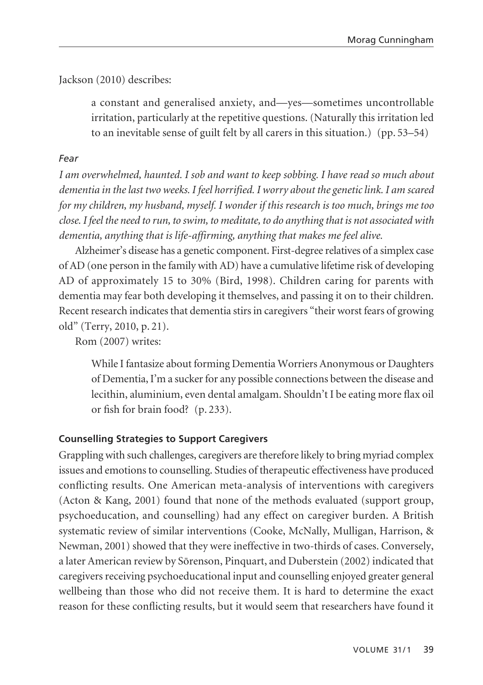## Jackson (2010) describes:

a constant and generalised anxiety, and—yes—sometimes uncontrollable irritation, particularly at the repetitive questions. (Naturally this irritation led to an inevitable sense of guilt felt by all carers in this situation.) (pp. 53–54)

## *Fear*

*I am overwhelmed, haunted. I sob and want to keep sobbing. I have read so much about dementia in the last two weeks. I feel horrified. I worry about the genetic link. I am scared for my children, my husband, myself. I wonder if this research is too much, brings me too close. I feel the need to run, to swim, to meditate, to do anything that is not associated with dementia, anything that is life-affirming, anything that makes me feel alive.*

Alzheimer's disease has a genetic component. First-degree relatives of a simplex case of AD (one person in the family with AD) have a cumulative lifetime risk of developing AD of approximately 15 to 30% (Bird, 1998). Children caring for parents with dementia may fear both developing it themselves, and passing it on to their children. Recent research indicates that dementia stirs in caregivers "their worst fears of growing old" (Terry, 2010, p. 21).

Rom (2007) writes:

While I fantasize about forming Dementia Worriers Anonymous or Daughters of Dementia, I'm a sucker for any possible connections between the disease and lecithin, aluminium, even dental amalgam. Shouldn't I be eating more flax oil or fish for brain food? (p. 233).

## **Counselling Strategies to Support Caregivers**

Grappling with such challenges, caregivers are therefore likely to bring myriad complex issues and emotions to counselling. Studies of therapeutic effectiveness have produced conflicting results. One American meta-analysis of interventions with caregivers (Acton & Kang, 2001) found that none of the methods evaluated (support group, psychoeducation, and counselling) had any effect on caregiver burden. A British systematic review of similar interventions (Cooke, McNally, Mulligan, Harrison, & Newman, 2001) showed that they were ineffective in two-thirds of cases. Conversely, a later American review by Sörenson, Pinquart, and Duberstein (2002) indicated that caregivers receiving psychoeducational input and counselling enjoyed greater general wellbeing than those who did not receive them. It is hard to determine the exact reason for these conflicting results, but it would seem that researchers have found it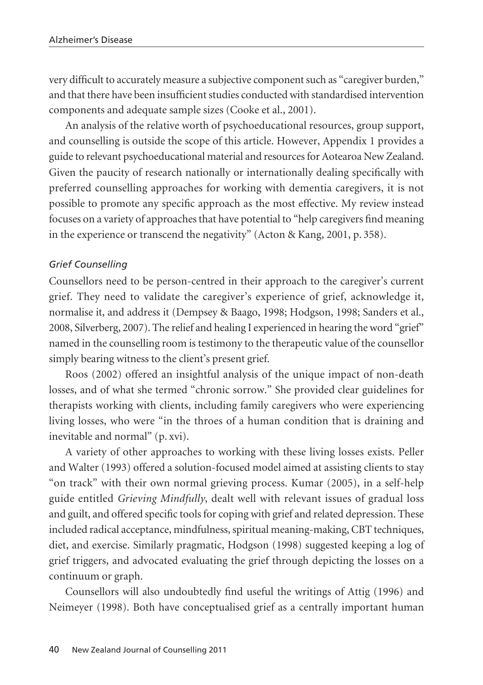very difficult to accurately measure a subjective component such as "caregiver burden," and that there have been insufficient studies conducted with standardised intervention components and adequate sample sizes (Cooke et al., 2001).

An analysis of the relative worth of psychoeducational resources, group support, and counselling is outside the scope of this article. However, Appendix 1 provides a guide to relevant psychoeducational material and resources for Aotearoa New Zealand. Given the paucity of research nationally or internationally dealing specifically with preferred counselling approaches for working with dementia caregivers, it is not possible to promote any specific approach as the most effective. My review instead focuses on a variety of approaches that have potential to "help caregivers find meaning in the experience or transcend the negativity" (Acton & Kang, 2001, p. 358).

#### *Grief Counselling*

Counsellors need to be person-centred in their approach to the caregiver's current grief. They need to validate the caregiver's experience of grief, acknowledge it, normalise it, and address it (Dempsey & Baago, 1998; Hodgson, 1998; Sanders et al., 2008, Silverberg, 2007). The relief and healing I experienced in hearing the word "grief" named in the counselling room is testimony to the therapeutic value of the counsellor simply bearing witness to the client's present grief.

Roos (2002) offered an insightful analysis of the unique impact of non-death losses, and of what she termed "chronic sorrow." She provided clear guidelines for therapists working with clients, including family caregivers who were experiencing living losses, who were "in the throes of a human condition that is draining and inevitable and normal" (p. xvi).

A variety of other approaches to working with these living losses exists. Peller and Walter (1993) offered a solution-focused model aimed at assisting clients to stay "on track" with their own normal grieving process. Kumar (2005), in a self-help guide entitled *Grieving Mindfully*, dealt well with relevant issues of gradual loss and guilt, and offered specific tools for coping with grief and related depression. These included radical acceptance, mindfulness, spiritual meaning-making, CBT techniques, diet, and exercise. Similarly pragmatic, Hodgson (1998) suggested keeping a log of grief triggers, and advocated evaluating the grief through depicting the losses on a continuum or graph.

Counsellors will also undoubtedly find useful the writings of Attig (1996) and Neimeyer (1998). Both have conceptualised grief as a centrally important human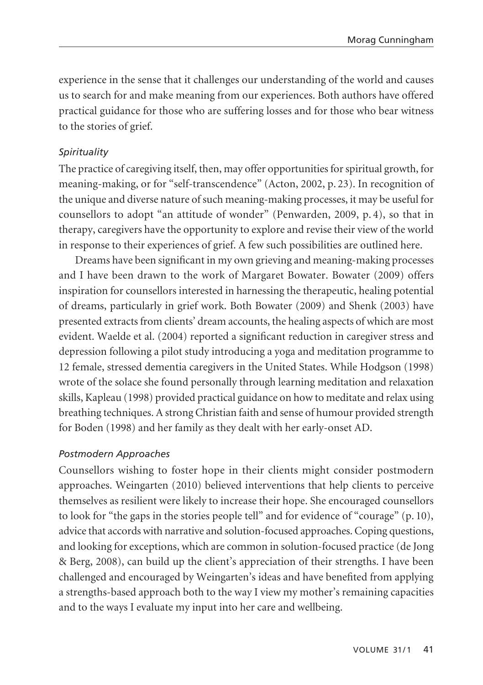experience in the sense that it challenges our understanding of the world and causes us to search for and make meaning from our experiences. Both authors have offered practical guidance for those who are suffering losses and for those who bear witness to the stories of grief.

## *Spirituality*

The practice of caregiving itself, then, may offer opportunities for spiritual growth, for meaning-making, or for "self-transcendence" (Acton, 2002, p. 23). In recognition of the unique and diverse nature of such meaning-making processes, it may be useful for counsellors to adopt "an attitude of wonder" (Penwarden, 2009, p. 4), so that in therapy, caregivers have the opportunity to explore and revise their view of the world in response to their experiences of grief. A few such possibilities are outlined here.

Dreams have been significant in my own grieving and meaning-making processes and I have been drawn to the work of Margaret Bowater. Bowater (2009) offers inspiration for counsellors interested in harnessing the therapeutic, healing potential of dreams, particularly in grief work. Both Bowater (2009) and Shenk (2003) have presented extracts from clients' dream accounts, the healing aspects of which are most evident. Waelde et al. (2004) reported a significant reduction in caregiver stress and depression following a pilot study introducing a yoga and meditation programme to 12 female, stressed dementia caregivers in the United States. While Hodgson (1998) wrote of the solace she found personally through learning meditation and relaxation skills, Kapleau (1998) provided practical guidance on how to meditate and relax using breathing techniques. A strong Christian faith and sense of humour provided strength for Boden (1998) and her family as they dealt with her early-onset AD.

## *Postmodern Approaches*

Counsellors wishing to foster hope in their clients might consider postmodern approaches. Weingarten (2010) believed interventions that help clients to perceive themselves as resilient were likely to increase their hope. She encouraged counsellors to look for "the gaps in the stories people tell" and for evidence of "courage" (p. 10), advice that accords with narrative and solution-focused approaches. Coping questions, and looking for exceptions, which are common in solution-focused practice (de Jong & Berg, 2008), can build up the client's appreciation of their strengths. I have been challenged and encouraged by Weingarten's ideas and have benefited from applying a strengths-based approach both to the way I view my mother's remaining capacities and to the ways I evaluate my input into her care and wellbeing.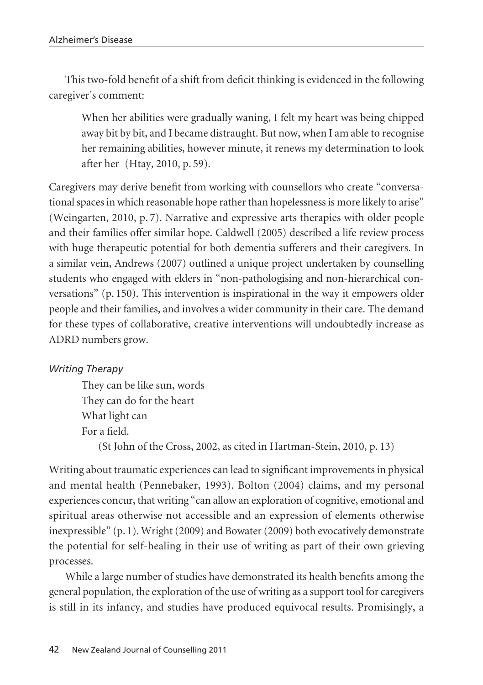This two-fold benefit of a shift from deficit thinking is evidenced in the following caregiver's comment:

When her abilities were gradually waning, I felt my heart was being chipped away bit by bit, and I became distraught. But now, when I am able to recognise her remaining abilities, however minute, it renews my determination to look after her (Htay, 2010, p. 59).

Caregivers may derive benefit from working with counsellors who create "conversational spaces in which reasonable hope rather than hopelessness is more likely to arise" (Weingarten, 2010, p. 7). Narrative and expressive arts therapies with older people and their families offer similar hope. Caldwell (2005) described a life review process with huge therapeutic potential for both dementia sufferers and their caregivers. In a similar vein, Andrews (2007) outlined a unique project undertaken by counselling students who engaged with elders in "non-pathologising and non-hierarchical conversations" (p. 150). This intervention is inspirational in the way it empowers older people and their families, and involves a wider community in their care. The demand for these types of collaborative, creative interventions will undoubtedly increase as ADRD numbers grow.

## *Writing Therapy*

They can be like sun, words They can do for the heart What light can For a field. (St John of the Cross, 2002, as cited in Hartman-Stein, 2010, p. 13)

Writing about traumatic experiences can lead to significant improvements in physical and mental health (Pennebaker, 1993). Bolton (2004) claims, and my personal experiences concur, that writing "can allow an exploration of cognitive, emotional and spiritual areas otherwise not accessible and an expression of elements otherwise inexpressible" (p. 1). Wright (2009) and Bowater (2009) both evocatively demonstrate the potential for self-healing in their use of writing as part of their own grieving processes.

While a large number of studies have demonstrated its health benefits among the general population, the exploration of the use of writing as a support tool for caregivers is still in its infancy, and studies have produced equivocal results. Promisingly, a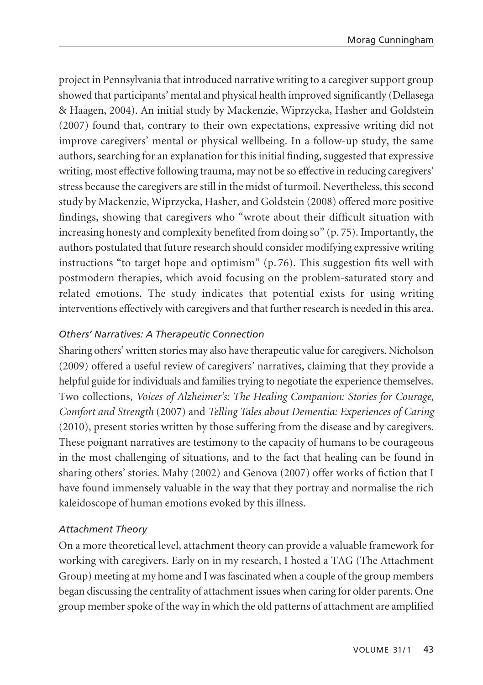project in Pennsylvania that introduced narrative writing to a caregiver support group showed that participants' mental and physical health improved significantly (Dellasega & Haagen, 2004). An initial study by Mackenzie, Wiprzycka, Hasher and Goldstein (2007) found that, contrary to their own expectations, expressive writing did not improve caregivers' mental or physical wellbeing. In a follow-up study, the same authors, searching for an explanation for this initial finding, suggested that expressive writing, most effective following trauma, may not be so effective in reducing caregivers' stress because the caregivers are still in the midst of turmoil. Nevertheless, this second study by Mackenzie, Wiprzycka, Hasher, and Goldstein (2008) offered more positive findings, showing that caregivers who "wrote about their difficult situation with increasing honesty and complexity benefited from doing so" (p. 75). Importantly, the authors postulated that future research should consider modifying expressive writing instructions "to target hope and optimism"  $(p, 76)$ . This suggestion fits well with postmodern therapies, which avoid focusing on the problem-saturated story and related emotions. The study indicates that potential exists for using writing interventions effectively with caregivers and that further research is needed in this area.

## *Others' Narratives: A Therapeutic Connection*

Sharing others' written stories may also have therapeutic value for caregivers. Nicholson (2009) offered a useful review of caregivers' narratives, claiming that they provide a helpful guide for individuals and families trying to negotiate the experience themselves. Two collections, *Voices of Alzheimer's: The Healing Companion: Stories for Courage, Comfort and Strength* (2007) and *Telling Tales about Dementia: Experiences of Caring* (2010), present stories written by those suffering from the disease and by caregivers. These poignant narratives are testimony to the capacity of humans to be courageous in the most challenging of situations, and to the fact that healing can be found in sharing others' stories. Mahy (2002) and Genova (2007) offer works of fiction that I have found immensely valuable in the way that they portray and normalise the rich kaleidoscope of human emotions evoked by this illness.

## *Attachment Theory*

On a more theoretical level, attachment theory can provide a valuable framework for working with caregivers. Early on in my research, I hosted a TAG (The Attachment Group) meeting at my home and I was fascinated when a couple of the group members began discussing the centrality of attachment issues when caring for older parents. One group member spoke of the way in which the old patterns of attachment are amplified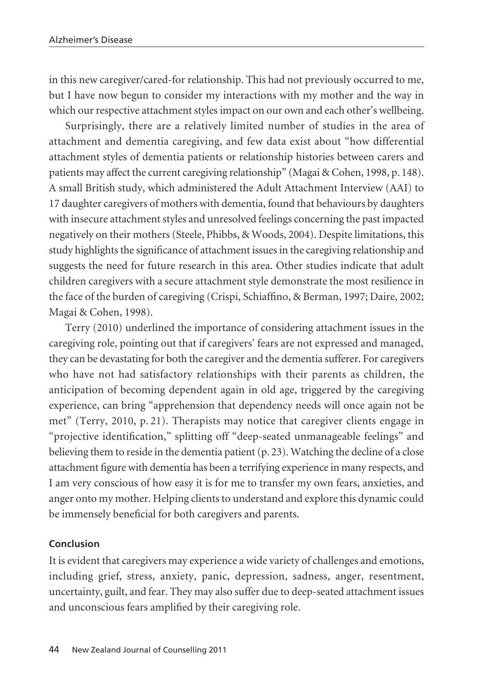in this new caregiver/cared-for relationship. This had not previously occurred to me, but I have now begun to consider my interactions with my mother and the way in which our respective attachment styles impact on our own and each other's wellbeing.

Surprisingly, there are a relatively limited number of studies in the area of attachment and dementia caregiving, and few data exist about "how differential attachment styles of dementia patients or relationship histories between carers and patients may affect the current caregiving relationship" (Magai & Cohen, 1998, p. 148). A small British study, which administered the Adult Attachment Interview (AAI) to 17 daughter caregivers of mothers with dementia, found that behaviours by daughters with insecure attachment styles and unresolved feelings concerning the past impacted negatively on their mothers (Steele, Phibbs, & Woods, 2004). Despite limitations, this study highlights the significance of attachment issues in the caregiving relationship and suggests the need for future research in this area. Other studies indicate that adult children caregivers with a secure attachment style demonstrate the most resilience in the face of the burden of caregiving (Crispi, Schiaffino, & Berman, 1997; Daire, 2002; Magai & Cohen, 1998).

Terry (2010) underlined the importance of considering attachment issues in the caregiving role, pointing out that if caregivers' fears are not expressed and managed, they can be devastating for both the caregiver and the dementia sufferer. For caregivers who have not had satisfactory relationships with their parents as children, the anticipation of becoming dependent again in old age, triggered by the caregiving experience, can bring "apprehension that dependency needs will once again not be met" (Terry, 2010, p. 21). Therapists may notice that caregiver clients engage in "projective identification," splitting off "deep-seated unmanageable feelings" and believing them to reside in the dementia patient (p. 23). Watching the decline of a close attachment figure with dementia has been a terrifying experience in many respects, and I am very conscious of how easy it is for me to transfer my own fears, anxieties, and anger onto my mother. Helping clients to understand and explore this dynamic could be immensely beneficial for both caregivers and parents.

#### **Conclusion**

It is evident that caregivers may experience a wide variety of challenges and emotions, including grief, stress, anxiety, panic, depression, sadness, anger, resentment, uncertainty, guilt, and fear. They may also suffer due to deep-seated attachment issues and unconscious fears amplified by their caregiving role.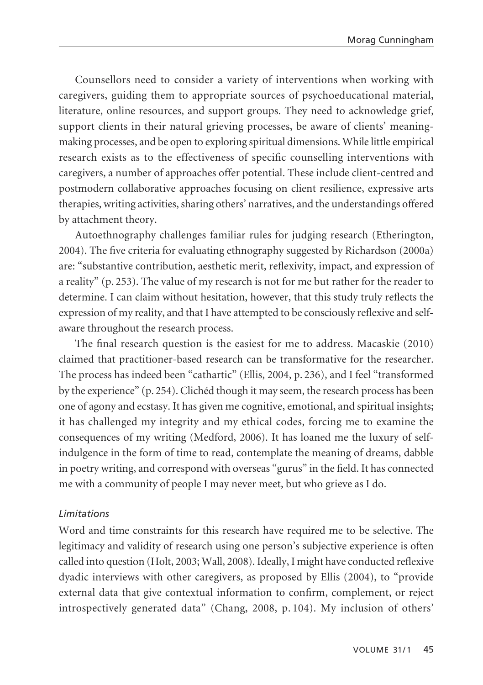Counsellors need to consider a variety of interventions when working with caregivers, guiding them to appropriate sources of psychoeducational material, literature, online resources, and support groups. They need to acknowledge grief, support clients in their natural grieving processes, be aware of clients' meaningmaking processes, and be open to exploring spiritual dimensions. While little empirical research exists as to the effectiveness of specific counselling interventions with caregivers, a number of approaches offer potential. These include client-centred and postmodern collaborative approaches focusing on client resilience, expressive arts therapies, writing activities, sharing others' narratives, and the understandings offered by attachment theory.

Autoethnography challenges familiar rules for judging research (Etherington, 2004). The five criteria for evaluating ethnography suggested by Richardson (2000a) are: "substantive contribution, aesthetic merit, reflexivity, impact, and expression of a reality" (p. 253). The value of my research is not for me but rather for the reader to determine. I can claim without hesitation, however, that this study truly reflects the expression of my reality, and that I have attempted to be consciously reflexive and selfaware throughout the research process.

The final research question is the easiest for me to address. Macaskie (2010) claimed that practitioner-based research can be transformative for the researcher. The process has indeed been "cathartic" (Ellis, 2004, p. 236), and I feel "transformed by the experience" (p. 254). Clichéd though it may seem, the research process has been one of agony and ecstasy. It has given me cognitive, emotional, and spiritual insights; it has challenged my integrity and my ethical codes, forcing me to examine the consequences of my writing (Medford, 2006). It has loaned me the luxury of selfindulgence in the form of time to read, contemplate the meaning of dreams, dabble in poetry writing, and correspond with overseas "gurus" in the field. It has connected me with a community of people I may never meet, but who grieve as I do.

#### *Limitations*

Word and time constraints for this research have required me to be selective. The legitimacy and validity of research using one person's subjective experience is often called into question (Holt, 2003; Wall, 2008). Ideally, I might have conducted reflexive dyadic interviews with other caregivers, as proposed by Ellis (2004), to "provide external data that give contextual information to confirm, complement, or reject introspectively generated data" (Chang, 2008, p. 104). My inclusion of others'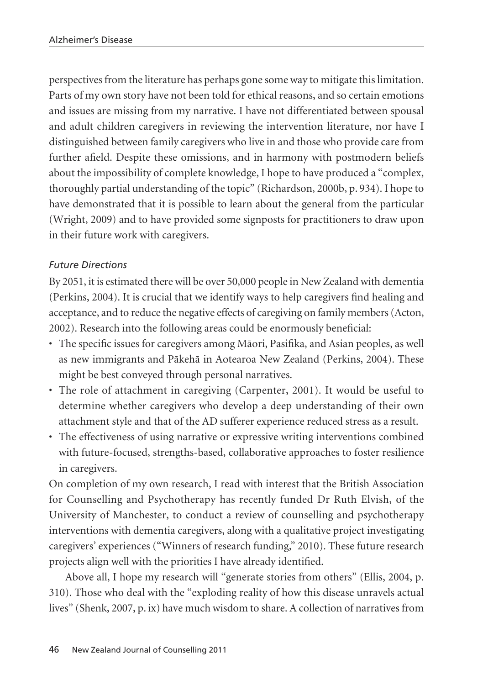perspectives from the literature has perhaps gone some way to mitigate this limitation. Parts of my own story have not been told for ethical reasons, and so certain emotions and issues are missing from my narrative. I have not differentiated between spousal and adult children caregivers in reviewing the intervention literature, nor have I distinguished between family caregivers who live in and those who provide care from further afield. Despite these omissions, and in harmony with postmodern beliefs about the impossibility of complete knowledge, I hope to have produced a "complex, thoroughly partial understanding of the topic" (Richardson, 2000b, p. 934). I hope to have demonstrated that it is possible to learn about the general from the particular (Wright, 2009) and to have provided some signposts for practitioners to draw upon in their future work with caregivers.

## *Future Directions*

By 2051, it is estimated there will be over 50,000 people in New Zealand with dementia (Perkins, 2004). It is crucial that we identify ways to help caregivers find healing and acceptance, and to reduce the negative effects of caregiving on family members (Acton, 2002). Research into the following areas could be enormously beneficial:

- The specific issues for caregivers among Mäori, Pasifika, and Asian peoples, as well as new immigrants and Päkehä in Aotearoa New Zealand (Perkins, 2004). These might be best conveyed through personal narratives.
- The role of attachment in caregiving (Carpenter, 2001). It would be useful to determine whether caregivers who develop a deep understanding of their own attachment style and that of the AD sufferer experience reduced stress as a result.
- The effectiveness of using narrative or expressive writing interventions combined with future-focused, strengths-based, collaborative approaches to foster resilience in caregivers.

On completion of my own research, I read with interest that the British Association for Counselling and Psychotherapy has recently funded Dr Ruth Elvish, of the University of Manchester, to conduct a review of counselling and psychotherapy interventions with dementia caregivers, along with a qualitative project investigating caregivers' experiences ("Winners of research funding," 2010). These future research projects align well with the priorities I have already identified.

Above all, I hope my research will "generate stories from others" (Ellis, 2004, p. 310). Those who deal with the "exploding reality of how this disease unravels actual lives" (Shenk, 2007, p. ix) have much wisdom to share. A collection of narratives from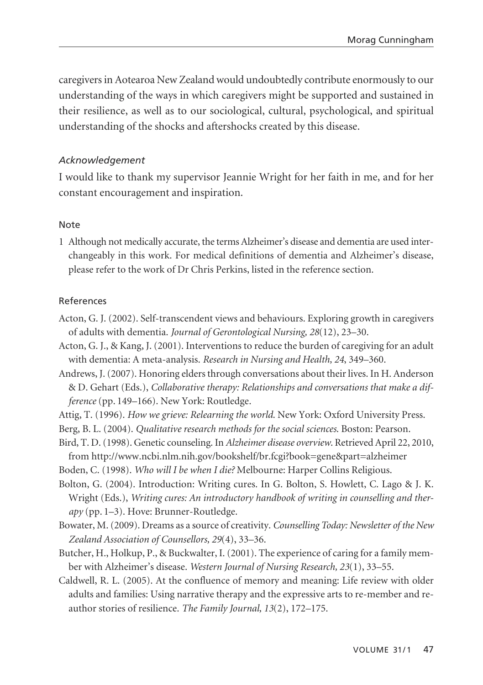caregivers in Aotearoa New Zealand would undoubtedly contribute enormously to our understanding of the ways in which caregivers might be supported and sustained in their resilience, as well as to our sociological, cultural, psychological, and spiritual understanding of the shocks and aftershocks created by this disease.

#### *Acknowledgement*

I would like to thank my supervisor Jeannie Wright for her faith in me, and for her constant encouragement and inspiration.

#### Note

1 Although not medically accurate, the terms Alzheimer's disease and dementia are used interchangeably in this work. For medical definitions of dementia and Alzheimer's disease, please refer to the work of Dr Chris Perkins, listed in the reference section.

#### References

- Acton, G. J. (2002). Self-transcendent views and behaviours. Exploring growth in caregivers of adults with dementia. *Journal of Gerontological Nursing, 28*(12), 23–30.
- Acton, G. J., & Kang, J. (2001). Interventions to reduce the burden of caregiving for an adult with dementia: A meta-analysis. *Research in Nursing and Health, 24*, 349–360.
- Andrews, J. (2007). Honoring elders through conversations about their lives. In H. Anderson & D. Gehart (Eds.), *Collaborative therapy: Relationships and conversations that make a difference* (pp. 149–166). New York: Routledge.
- Attig, T. (1996). *How we grieve: Relearning the world*. New York: Oxford University Press.
- Berg, B. L. (2004). *Qualitative research methods for the social sciences*. Boston: Pearson.
- Bird, T. D. (1998). Genetic counseling. In *Alzheimer disease overview*. Retrieved April 22, 2010, from http://www.ncbi.nlm.nih.gov/bookshelf/br.fcgi?book=gene&part=alzheimer
- Boden, C. (1998). *Who will I be when I die?* Melbourne: Harper Collins Religious.
- Bolton, G. (2004). Introduction: Writing cures. In G. Bolton, S. Howlett, C. Lago & J. K. Wright (Eds.), *Writing cures: An introductory handbook of writing in counselling and therapy* (pp. 1–3). Hove: Brunner-Routledge.
- Bowater, M. (2009). Dreams as a source of creativity. *Counselling Today: Newsletter of the New Zealand Association of Counsellors, 29*(4), 33–36.
- Butcher, H., Holkup, P., & Buckwalter, I. (2001). The experience of caring for a family member with Alzheimer's disease. *Western Journal of Nursing Research, 23*(1), 33–55.
- Caldwell, R. L. (2005). At the confluence of memory and meaning: Life review with older adults and families: Using narrative therapy and the expressive arts to re-member and reauthor stories of resilience. *The Family Journal, 13*(2), 172–175.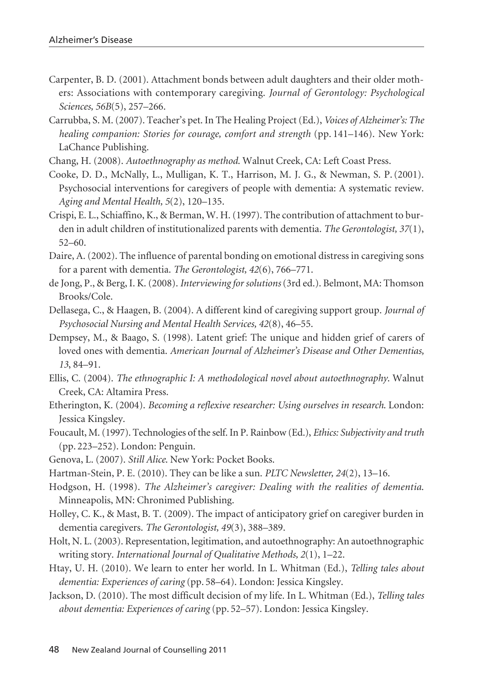- Carpenter, B. D. (2001). Attachment bonds between adult daughters and their older mothers: Associations with contemporary caregiving. *Journal of Gerontology: Psychological Sciences, 56B*(5), 257–266.
- Carrubba, S. M. (2007). Teacher's pet. In The Healing Project (Ed.), *Voices of Alzheimer's: The healing companion: Stories for courage, comfort and strength* (pp. 141–146). New York: LaChance Publishing.
- Chang, H. (2008). *Autoethnography as method*. Walnut Creek, CA: Left Coast Press.
- Cooke, D. D., McNally, L., Mulligan, K. T., Harrison, M. J. G., & Newman, S. P. (2001). Psychosocial interventions for caregivers of people with dementia: A systematic review. *Aging and Mental Health, 5*(2), 120–135.
- Crispi, E. L., Schiaffino, K., & Berman, W. H. (1997). The contribution of attachment to burden in adult children of institutionalized parents with dementia. *The Gerontologist, 37*(1), 52–60.
- Daire, A. (2002). The influence of parental bonding on emotional distress in caregiving sons for a parent with dementia. *The Gerontologist, 42*(6), 766–771.
- de Jong, P., & Berg, I. K. (2008). *Interviewing for solutions*(3rd ed.). Belmont, MA: Thomson Brooks/Cole.
- Dellasega, C., & Haagen, B. (2004). A different kind of caregiving support group. *Journal of Psychosocial Nursing and Mental Health Services, 42*(8), 46–55.
- Dempsey, M., & Baago, S. (1998). Latent grief: The unique and hidden grief of carers of loved ones with dementia. *American Journal of Alzheimer's Disease and Other Dementias, 13*, 84–91.
- Ellis, C. (2004). *The ethnographic I: A methodological novel about autoethnography*. Walnut Creek, CA: Altamira Press.
- Etherington, K. (2004). *Becoming a reflexive researcher: Using ourselves in research*. London: Jessica Kingsley.
- Foucault, M. (1997). Technologies of the self. In P. Rainbow (Ed.), *Ethics: Subjectivity and truth* (pp. 223–252). London: Penguin.
- Genova, L. (2007). *Still Alice*. New York: Pocket Books.
- Hartman-Stein, P. E. (2010). They can be like a sun. *PLTC Newsletter, 24*(2), 13–16.
- Hodgson, H. (1998). *The Alzheimer's caregiver: Dealing with the realities of dementia*. Minneapolis, MN: Chronimed Publishing.
- Holley, C. K., & Mast, B. T. (2009). The impact of anticipatory grief on caregiver burden in dementia caregivers. *The Gerontologist, 49*(3), 388–389.
- Holt, N. L. (2003). Representation, legitimation, and autoethnography: An autoethnographic writing story. *International Journal of Qualitative Methods, 2*(1), 1–22.
- Htay, U. H. (2010). We learn to enter her world. In L. Whitman (Ed.), *Telling tales about dementia: Experiences of caring* (pp. 58–64). London: Jessica Kingsley.
- Jackson, D. (2010). The most difficult decision of my life. In L. Whitman (Ed.), *Telling tales about dementia: Experiences of caring* (pp. 52–57). London: Jessica Kingsley.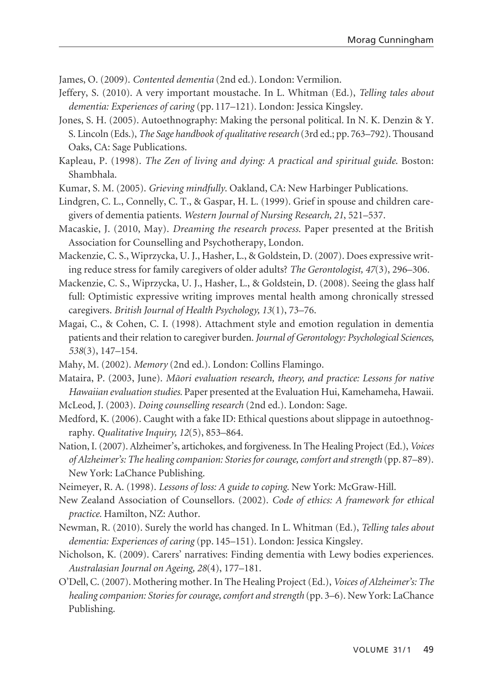James, O. (2009). *Contented dementia* (2nd ed.). London: Vermilion.

- Jeffery, S. (2010). A very important moustache. In L. Whitman (Ed.), *Telling tales about dementia: Experiences of caring* (pp. 117–121). London: Jessica Kingsley.
- Jones, S. H. (2005). Autoethnography: Making the personal political. In N. K. Denzin & Y. S. Lincoln (Eds.), *The Sage handbook of qualitative research* (3rd ed.; pp. 763–792). Thousand Oaks, CA: Sage Publications.
- Kapleau, P. (1998). *The Zen of living and dying: A practical and spiritual guide*. Boston: Shambhala.
- Kumar, S. M. (2005). *Grieving mindfully*. Oakland, CA: New Harbinger Publications.
- Lindgren, C. L., Connelly, C. T., & Gaspar, H. L. (1999). Grief in spouse and children caregivers of dementia patients. *Western Journal of Nursing Research, 21*, 521–537.
- Macaskie, J. (2010, May). *Dreaming the research process*. Paper presented at the British Association for Counselling and Psychotherapy, London.

Mackenzie, C. S., Wiprzycka, U. J., Hasher, L., & Goldstein, D. (2007). Does expressive writing reduce stress for family caregivers of older adults? *The Gerontologist, 47*(3), 296–306.

- Mackenzie, C. S., Wiprzycka, U. J., Hasher, L., & Goldstein, D. (2008). Seeing the glass half full: Optimistic expressive writing improves mental health among chronically stressed caregivers. *British Journal of Health Psychology, 13*(1), 73–76.
- Magai, C., & Cohen, C. I. (1998). Attachment style and emotion regulation in dementia patients and their relation to caregiver burden. *Journal of Gerontology: Psychological Sciences, 538*(3), 147–154.
- Mahy, M. (2002). *Memory* (2nd ed.). London: Collins Flamingo.
- Mataira, P. (2003, June). *Mäori evaluation research, theory, and practice: Lessons for native Hawaiian evaluation studies.* Paper presented at the Evaluation Hui, Kamehameha, Hawaii.
- McLeod, J. (2003). *Doing counselling research* (2nd ed.). London: Sage.
- Medford, K. (2006). Caught with a fake ID: Ethical questions about slippage in autoethnography. *Qualitative Inquiry, 12*(5), 853–864.
- Nation, I. (2007). Alzheimer's, artichokes, and forgiveness. In The Healing Project (Ed.), *Voices of Alzheimer's: The healing companion: Stories for courage, comfort and strength* (pp. 87–89). New York: LaChance Publishing.
- Neimeyer, R. A. (1998). *Lessons of loss: A guide to coping*. New York: McGraw-Hill.
- New Zealand Association of Counsellors. (2002). *Code of ethics: A framework for ethical practice.* Hamilton, NZ: Author.
- Newman, R. (2010). Surely the world has changed. In L. Whitman (Ed.), *Telling tales about dementia: Experiences of caring* (pp. 145–151). London: Jessica Kingsley.
- Nicholson, K. (2009). Carers' narratives: Finding dementia with Lewy bodies experiences. *Australasian Journal on Ageing, 28*(4), 177–181.
- O'Dell, C. (2007). Mothering mother. In The Healing Project (Ed.), *Voices of Alzheimer's: The healing companion: Stories for courage, comfort and strength* (pp. 3–6). New York: LaChance Publishing.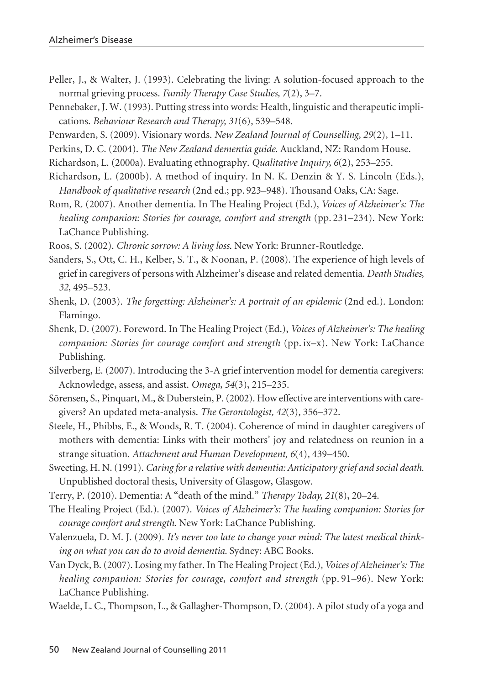- Peller, J., & Walter, J. (1993). Celebrating the living: A solution-focused approach to the normal grieving process. *Family Therapy Case Studies, 7*(2), 3–7.
- Pennebaker, J. W. (1993). Putting stress into words: Health, linguistic and therapeutic implications. *Behaviour Research and Therapy, 31*(6), 539–548.
- Penwarden, S. (2009). Visionary words. *New Zealand Journal of Counselling, 29*(2), 1–11.
- Perkins, D. C. (2004). *The New Zealand dementia guide*. Auckland, NZ: Random House.
- Richardson, L. (2000a). Evaluating ethnography. *Qualitative Inquiry, 6*(2), 253–255.
- Richardson, L. (2000b). A method of inquiry. In N. K. Denzin & Y. S. Lincoln (Eds.), *Handbook of qualitative research* (2nd ed.; pp. 923–948). Thousand Oaks, CA: Sage.
- Rom, R. (2007). Another dementia. In The Healing Project (Ed.), *Voices of Alzheimer's: The healing companion: Stories for courage, comfort and strength* (pp. 231–234). New York: LaChance Publishing.
- Roos, S. (2002). *Chronic sorrow: A living loss*. New York: Brunner-Routledge.
- Sanders, S., Ott, C. H., Kelber, S. T., & Noonan, P. (2008). The experience of high levels of grief in caregivers of persons with Alzheimer's disease and related dementia. *Death Studies, 32*, 495–523.
- Shenk, D. (2003). *The forgetting: Alzheimer's: A portrait of an epidemic* (2nd ed.). London: Flamingo.
- Shenk, D. (2007). Foreword. In The Healing Project (Ed.), *Voices of Alzheimer's: The healing companion: Stories for courage comfort and strength* (pp. ix–x). New York: LaChance Publishing.
- Silverberg, E. (2007). Introducing the 3-A grief intervention model for dementia caregivers: Acknowledge, assess, and assist. *Omega, 54*(3), 215–235.
- Sörensen, S., Pinquart, M., & Duberstein, P. (2002). How effective are interventions with caregivers? An updated meta-analysis. *The Gerontologist, 42*(3), 356–372.
- Steele, H., Phibbs, E., & Woods, R. T. (2004). Coherence of mind in daughter caregivers of mothers with dementia: Links with their mothers' joy and relatedness on reunion in a strange situation. *Attachment and Human Development, 6*(4), 439–450.
- Sweeting, H. N. (1991). *Caring for a relative with dementia: Anticipatory grief and social death.* Unpublished doctoral thesis, University of Glasgow, Glasgow.
- Terry, P. (2010). Dementia: A "death of the mind." *Therapy Today, 21*(8), 20–24.
- The Healing Project (Ed.). (2007). *Voices of Alzheimer's: The healing companion: Stories for courage comfort and strength*. New York: LaChance Publishing.
- Valenzuela, D. M. J. (2009). *It's never too late to change your mind: The latest medical thinking on what you can do to avoid dementia*. Sydney: ABC Books.
- Van Dyck, B. (2007). Losing my father. In The Healing Project (Ed.), *Voices of Alzheimer's: The healing companion: Stories for courage, comfort and strength* (pp. 91–96). New York: LaChance Publishing.
- Waelde, L. C., Thompson, L., & Gallagher-Thompson, D. (2004). A pilot study of a yoga and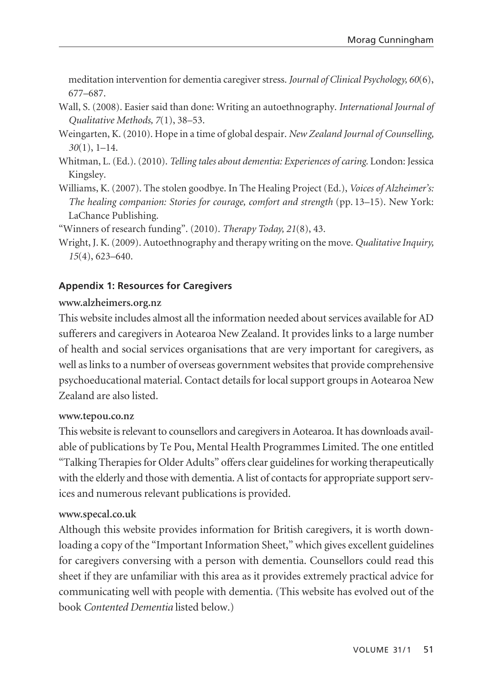meditation intervention for dementia caregiver stress. *Journal of Clinical Psychology, 60*(6), 677–687.

- Wall, S. (2008). Easier said than done: Writing an autoethnography. *International Journal of Qualitative Methods, 7*(1), 38–53.
- Weingarten, K. (2010). Hope in a time of global despair. *New Zealand Journal of Counselling, 30*(1), 1–14.
- Whitman, L. (Ed.). (2010). *Telling tales about dementia: Experiences of caring*. London: Jessica Kingsley.
- Williams, K. (2007). The stolen goodbye. In The Healing Project (Ed.), *Voices of Alzheimer's: The healing companion: Stories for courage, comfort and strength* (pp. 13–15). New York: LaChance Publishing.

"Winners of research funding". (2010). *Therapy Today, 21*(8), 43.

Wright, J. K. (2009). Autoethnography and therapy writing on the move. *Qualitative Inquiry, 15*(4), 623–640.

## **Appendix 1: Resources for Caregivers**

#### **www.alzheimers.org.nz**

This website includes almost all the information needed about services available for AD sufferers and caregivers in Aotearoa New Zealand. It provides links to a large number of health and social services organisations that are very important for caregivers, as well as links to a number of overseas government websites that provide comprehensive psychoeducational material. Contact details for local support groups in Aotearoa New Zealand are also listed.

#### **www.tepou.co.nz**

This website is relevant to counsellors and caregivers in Aotearoa. It has downloads available of publications by Te Pou, Mental Health Programmes Limited. The one entitled "Talking Therapies for Older Adults" offers clear guidelines for working therapeutically with the elderly and those with dementia. A list of contacts for appropriate support services and numerous relevant publications is provided.

#### **www.specal.co.uk**

Although this website provides information for British caregivers, it is worth downloading a copy of the "Important Information Sheet," which gives excellent guidelines for caregivers conversing with a person with dementia. Counsellors could read this sheet if they are unfamiliar with this area as it provides extremely practical advice for communicating well with people with dementia. (This website has evolved out of the book *Contented Dementia* listed below.)